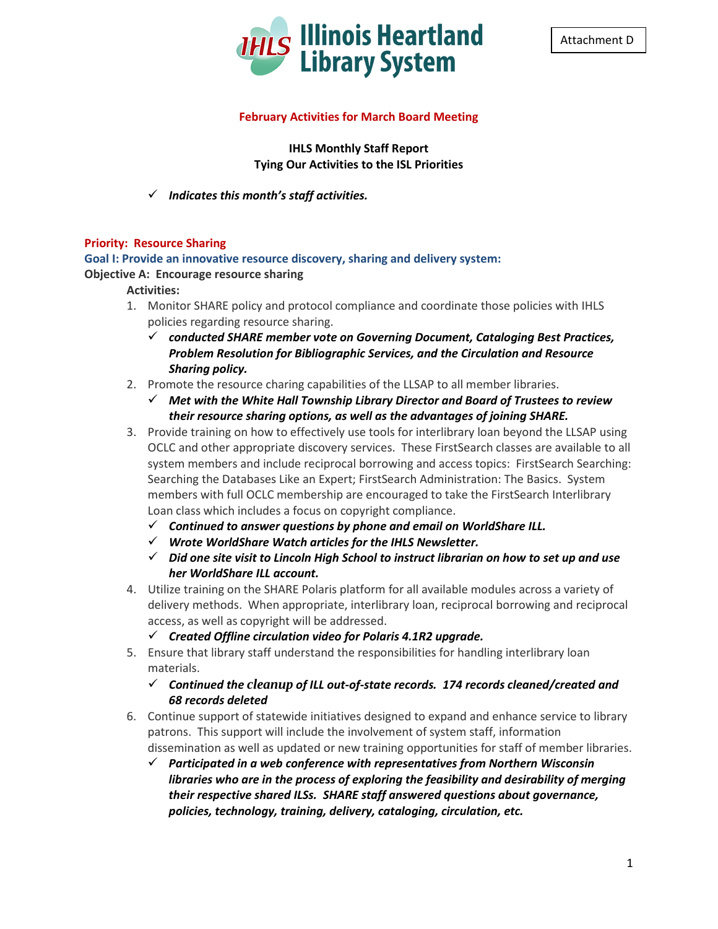



#### **February Activities for March Board Meeting**

**IHLS Monthly Staff Report Tying Our Activities to the ISL Priorities**

#### *Indicates this month's staff activities.*

#### **Priority: Resource Sharing**

#### **Goal I: Provide an innovative resource discovery, sharing and delivery system:**

#### **Objective A: Encourage resource sharing**

#### **Activities:**

- 1. Monitor SHARE policy and protocol compliance and coordinate those policies with IHLS policies regarding resource sharing.
	- *conducted SHARE member vote on Governing Document, Cataloging Best Practices, Problem Resolution for Bibliographic Services, and the Circulation and Resource Sharing policy.*
- 2. Promote the resource charing capabilities of the LLSAP to all member libraries.
	- *Met with the White Hall Township Library Director and Board of Trustees to review their resource sharing options, as well as the advantages of joining SHARE.*
- 3. Provide training on how to effectively use tools for interlibrary loan beyond the LLSAP using OCLC and other appropriate discovery services. These FirstSearch classes are available to all system members and include reciprocal borrowing and access topics: FirstSearch Searching: Searching the Databases Like an Expert; FirstSearch Administration: The Basics. System members with full OCLC membership are encouraged to take the FirstSearch Interlibrary Loan class which includes a focus on copyright compliance.
	- *Continued to answer questions by phone and email on WorldShare ILL.*
	- *Wrote WorldShare Watch articles for the IHLS Newsletter.*
	- *Did one site visit to Lincoln High School to instruct librarian on how to set up and use her WorldShare ILL account.*
- 4. Utilize training on the SHARE Polaris platform for all available modules across a variety of delivery methods. When appropriate, interlibrary loan, reciprocal borrowing and reciprocal access, as well as copyright will be addressed.
	- *Created Offline circulation video for Polaris 4.1R2 upgrade.*
- 5. Ensure that library staff understand the responsibilities for handling interlibrary loan materials.

#### *Continued the cleanup of ILL out-of-state records. 174 records cleaned/created and 68 records deleted*

- 6. Continue support of statewide initiatives designed to expand and enhance service to library patrons. This support will include the involvement of system staff, information dissemination as well as updated or new training opportunities for staff of member libraries.
	- *Participated in a web conference with representatives from Northern Wisconsin libraries who are in the process of exploring the feasibility and desirability of merging their respective shared ILSs. SHARE staff answered questions about governance, policies, technology, training, delivery, cataloging, circulation, etc.*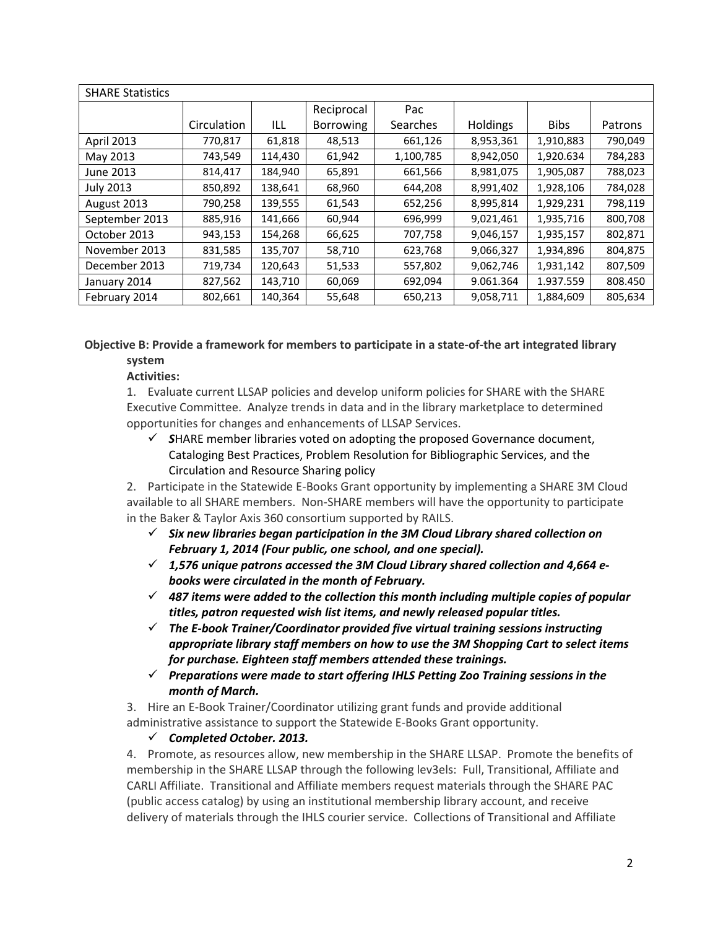| <b>SHARE Statistics</b> |             |         |            |           |           |             |         |  |
|-------------------------|-------------|---------|------------|-----------|-----------|-------------|---------|--|
|                         |             |         | Reciprocal | Pac       |           |             |         |  |
|                         | Circulation | ILL     | Borrowing  | Searches  | Holdings  | <b>Bibs</b> | Patrons |  |
| <b>April 2013</b>       | 770,817     | 61,818  | 48,513     | 661,126   | 8,953,361 | 1,910,883   | 790,049 |  |
| May 2013                | 743,549     | 114,430 | 61,942     | 1,100,785 | 8,942,050 | 1,920.634   | 784,283 |  |
| June 2013               | 814,417     | 184,940 | 65,891     | 661,566   | 8,981,075 | 1,905,087   | 788,023 |  |
| <b>July 2013</b>        | 850,892     | 138,641 | 68,960     | 644,208   | 8,991,402 | 1,928,106   | 784,028 |  |
| August 2013             | 790,258     | 139,555 | 61,543     | 652,256   | 8,995,814 | 1,929,231   | 798,119 |  |
| September 2013          | 885,916     | 141,666 | 60,944     | 696,999   | 9,021,461 | 1,935,716   | 800,708 |  |
| October 2013            | 943,153     | 154,268 | 66,625     | 707,758   | 9,046,157 | 1,935,157   | 802,871 |  |
| November 2013           | 831,585     | 135,707 | 58,710     | 623,768   | 9,066,327 | 1,934,896   | 804,875 |  |
| December 2013           | 719,734     | 120,643 | 51,533     | 557,802   | 9,062,746 | 1,931,142   | 807,509 |  |
| January 2014            | 827,562     | 143,710 | 60,069     | 692,094   | 9.061.364 | 1.937.559   | 808.450 |  |
| February 2014           | 802,661     | 140,364 | 55,648     | 650,213   | 9,058,711 | 1,884,609   | 805,634 |  |

#### **Objective B: Provide a framework for members to participate in a state-of-the art integrated library system**

### **Activities:**

1. Evaluate current LLSAP policies and develop uniform policies for SHARE with the SHARE Executive Committee. Analyze trends in data and in the library marketplace to determined opportunities for changes and enhancements of LLSAP Services.

 *S*HARE member libraries voted on adopting the proposed Governance document, Cataloging Best Practices, Problem Resolution for Bibliographic Services, and the Circulation and Resource Sharing policy

2. Participate in the Statewide E-Books Grant opportunity by implementing a SHARE 3M Cloud available to all SHARE members. Non-SHARE members will have the opportunity to participate in the Baker & Taylor Axis 360 consortium supported by RAILS.

- $\checkmark$  Six new libraries began participation in the 3M Cloud Library shared collection on *February 1, 2014 (Four public, one school, and one special).*
- *1,576 unique patrons accessed the 3M Cloud Library shared collection and 4,664 ebooks were circulated in the month of February.*
- *487 items were added to the collection this month including multiple copies of popular titles, patron requested wish list items, and newly released popular titles.*
- *The E-book Trainer/Coordinator provided five virtual training sessions instructing appropriate library staff members on how to use the 3M Shopping Cart to select items for purchase. Eighteen staff members attended these trainings.*
- *Preparations were made to start offering IHLS Petting Zoo Training sessions in the month of March.*

3. Hire an E-Book Trainer/Coordinator utilizing grant funds and provide additional administrative assistance to support the Statewide E-Books Grant opportunity.

### *Completed October. 2013.*

4. Promote, as resources allow, new membership in the SHARE LLSAP. Promote the benefits of membership in the SHARE LLSAP through the following lev3els: Full, Transitional, Affiliate and CARLI Affiliate. Transitional and Affiliate members request materials through the SHARE PAC (public access catalog) by using an institutional membership library account, and receive delivery of materials through the IHLS courier service. Collections of Transitional and Affiliate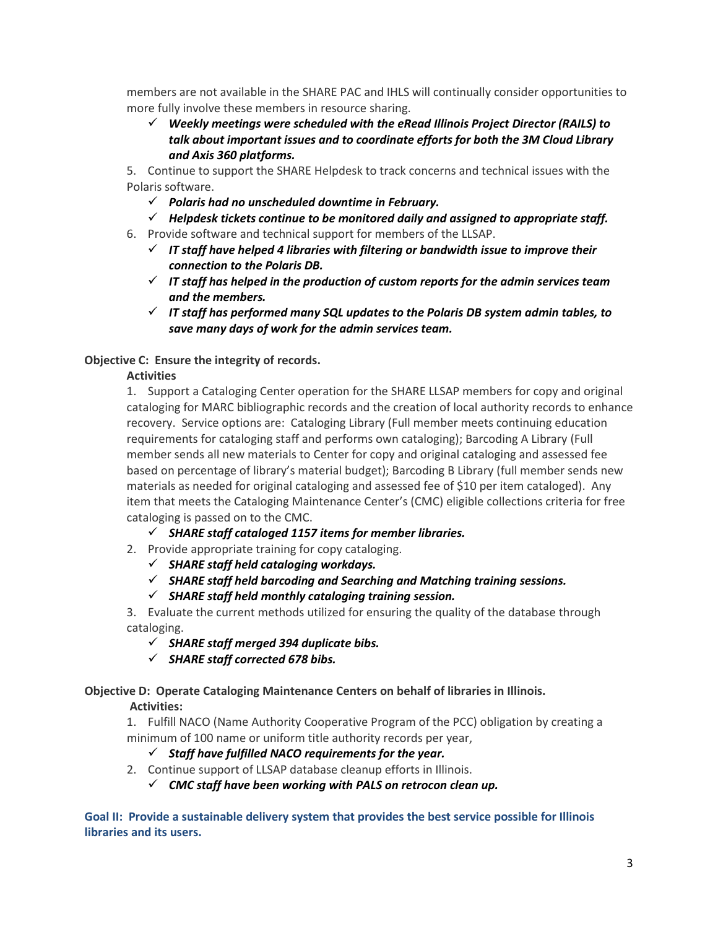members are not available in the SHARE PAC and IHLS will continually consider opportunities to more fully involve these members in resource sharing.

 *Weekly meetings were scheduled with the eRead Illinois Project Director (RAILS) to talk about important issues and to coordinate efforts for both the 3M Cloud Library and Axis 360 platforms.* 

5. Continue to support the SHARE Helpdesk to track concerns and technical issues with the Polaris software.

- *Polaris had no unscheduled downtime in February.*
- $\checkmark$  Helpdesk tickets continue to be monitored daily and assigned to appropriate staff.
- 6. Provide software and technical support for members of the LLSAP.
	- *IT staff have helped 4 libraries with filtering or bandwidth issue to improve their connection to the Polaris DB.*
	- *IT staff has helped in the production of custom reports for the admin services team and the members.*
	- $\checkmark$  IT staff has performed many SQL updates to the Polaris DB system admin tables, to *save many days of work for the admin services team.*

### **Objective C: Ensure the integrity of records.**

### **Activities**

1. Support a Cataloging Center operation for the SHARE LLSAP members for copy and original cataloging for MARC bibliographic records and the creation of local authority records to enhance recovery. Service options are: Cataloging Library (Full member meets continuing education requirements for cataloging staff and performs own cataloging); Barcoding A Library (Full member sends all new materials to Center for copy and original cataloging and assessed fee based on percentage of library's material budget); Barcoding B Library (full member sends new materials as needed for original cataloging and assessed fee of \$10 per item cataloged). Any item that meets the Cataloging Maintenance Center's (CMC) eligible collections criteria for free cataloging is passed on to the CMC.

- *SHARE staff cataloged 1157 items for member libraries.*
- 2. Provide appropriate training for copy cataloging.
	- *SHARE staff held cataloging workdays.*
	- *SHARE staff held barcoding and Searching and Matching training sessions.*
	- *SHARE staff held monthly cataloging training session.*

3. Evaluate the current methods utilized for ensuring the quality of the database through cataloging.

- *SHARE staff merged 394 duplicate bibs.*
- *SHARE staff corrected 678 bibs.*

## **Objective D: Operate Cataloging Maintenance Centers on behalf of libraries in Illinois.**

### **Activities:**

1. Fulfill NACO (Name Authority Cooperative Program of the PCC) obligation by creating a minimum of 100 name or uniform title authority records per year,

### *Staff have fulfilled NACO requirements for the year.*

2. Continue support of LLSAP database cleanup efforts in Illinois.

*CMC staff have been working with PALS on retrocon clean up.*

**Goal II: Provide a sustainable delivery system that provides the best service possible for Illinois libraries and its users.**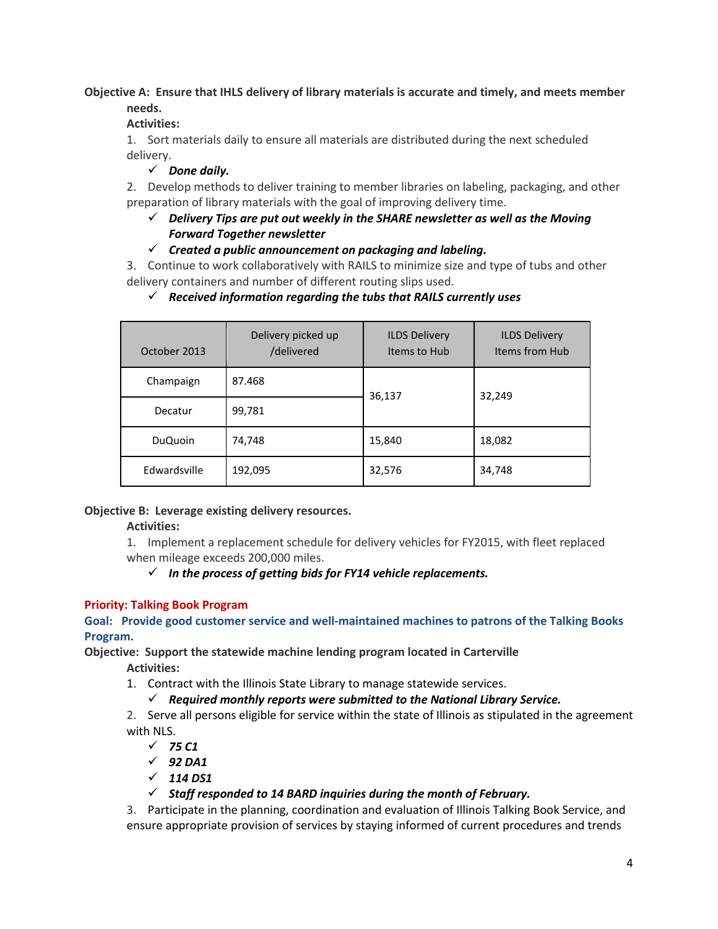### **Objective A: Ensure that IHLS delivery of library materials is accurate and timely, and meets member needs.**

### **Activities:**

1. Sort materials daily to ensure all materials are distributed during the next scheduled delivery.

*Done daily.*

2. Develop methods to deliver training to member libraries on labeling, packaging, and other preparation of library materials with the goal of improving delivery time.

### *Delivery Tips are put out weekly in the SHARE newsletter as well as the Moving Forward Together newsletter*

*Created a public announcement on packaging and labeling.*

3. Continue to work collaboratively with RAILS to minimize size and type of tubs and other delivery containers and number of different routing slips used.

### *Received information regarding the tubs that RAILS currently uses*

| October 2013   | Delivery picked up<br>/delivered | <b>ILDS Delivery</b><br>Items to Hub | <b>ILDS Delivery</b><br>Items from Hub |  |
|----------------|----------------------------------|--------------------------------------|----------------------------------------|--|
| Champaign      | 87.468                           | 36,137                               | 32,249                                 |  |
| Decatur        | 99,781                           |                                      |                                        |  |
| <b>DuQuoin</b> | 74,748                           | 15,840                               | 18,082                                 |  |
| Edwardsville   | 192,095                          | 32,576                               | 34,748                                 |  |

### **Objective B: Leverage existing delivery resources.**

### **Activities:**

1. Implement a replacement schedule for delivery vehicles for FY2015, with fleet replaced when mileage exceeds 200,000 miles.

### $\checkmark$  In the process of getting bids for FY14 vehicle replacements.

### **Priority: Talking Book Program**

**Goal: Provide good customer service and well-maintained machines to patrons of the Talking Books Program.** 

**Objective: Support the statewide machine lending program located in Carterville**

**Activities:**

1. Contract with the Illinois State Library to manage statewide services.

### *Required monthly reports were submitted to the National Library Service.*

2. Serve all persons eligible for service within the state of Illinois as stipulated in the agreement with NLS.

- *75 C1*
- $\sqrt{92\text{ DA1}}$
- $\sqrt{114 \text{ D}S1}$

### *Staff responded to 14 BARD inquiries during the month of February.*

3. Participate in the planning, coordination and evaluation of Illinois Talking Book Service, and ensure appropriate provision of services by staying informed of current procedures and trends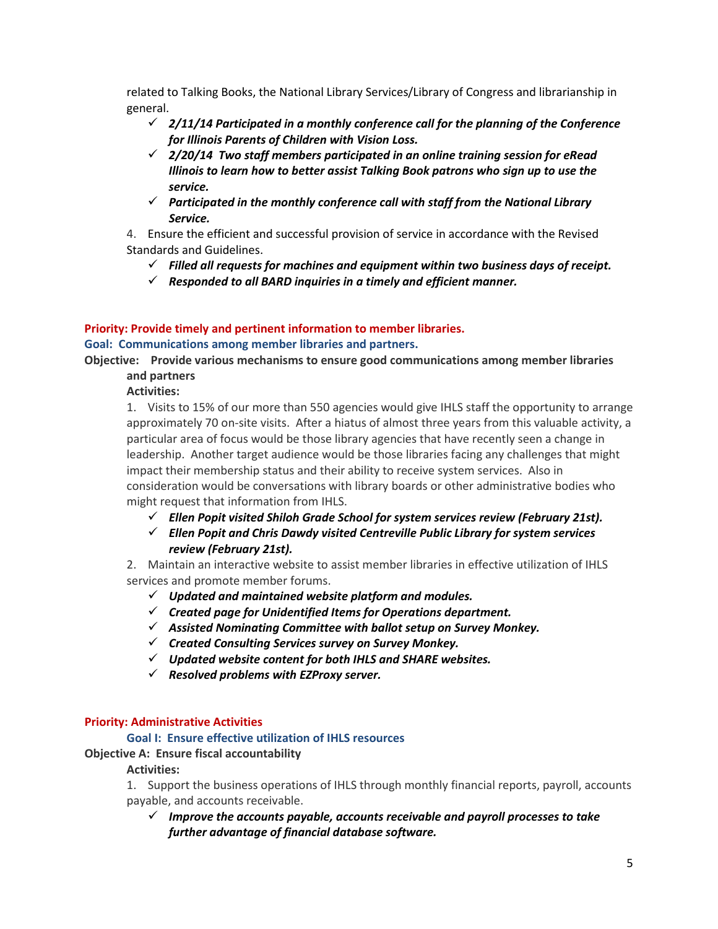related to Talking Books, the National Library Services/Library of Congress and librarianship in general.

- *2/11/14 Participated in a monthly conference call for the planning of the Conference for Illinois Parents of Children with Vision Loss.*
- *2/20/14 Two staff members participated in an online training session for eRead Illinois to learn how to better assist Talking Book patrons who sign up to use the service.*
- *Participated in the monthly conference call with staff from the National Library Service.*

4. Ensure the efficient and successful provision of service in accordance with the Revised Standards and Guidelines.

- *Filled all requests for machines and equipment within two business days of receipt.*
- *Responded to all BARD inquiries in a timely and efficient manner.*

# **Priority: Provide timely and pertinent information to member libraries.**

#### **Goal: Communications among member libraries and partners.**

**Objective: Provide various mechanisms to ensure good communications among member libraries and partners**

**Activities:**

1. Visits to 15% of our more than 550 agencies would give IHLS staff the opportunity to arrange approximately 70 on-site visits. After a hiatus of almost three years from this valuable activity, a particular area of focus would be those library agencies that have recently seen a change in leadership. Another target audience would be those libraries facing any challenges that might impact their membership status and their ability to receive system services. Also in consideration would be conversations with library boards or other administrative bodies who might request that information from IHLS.

- *Ellen Popit visited Shiloh Grade School for system services review (February 21st).*
- *Ellen Popit and Chris Dawdy visited Centreville Public Library for system services review (February 21st).*

2. Maintain an interactive website to assist member libraries in effective utilization of IHLS services and promote member forums.

- *Updated and maintained website platform and modules.*
- *Created page for Unidentified Items for Operations department.*
- *Assisted Nominating Committee with ballot setup on Survey Monkey.*
- *Created Consulting Services survey on Survey Monkey.*
- *Updated website content for both IHLS and SHARE websites.*
- *Resolved problems with EZProxy server.*

#### **Priority: Administrative Activities**

#### **Goal I: Ensure effective utilization of IHLS resources**

#### **Objective A: Ensure fiscal accountability**

#### **Activities:**

1. Support the business operations of IHLS through monthly financial reports, payroll, accounts payable, and accounts receivable.

 *Improve the accounts payable, accounts receivable and payroll processes to take further advantage of financial database software.*